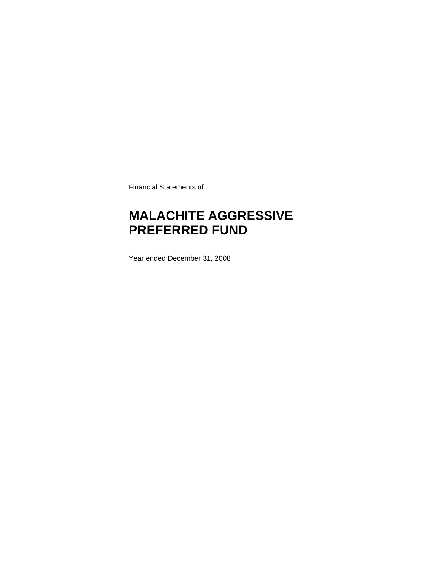Financial Statements of

### **MALACHITE AGGRESSIVE PREFERRED FUND**

Year ended December 31, 2008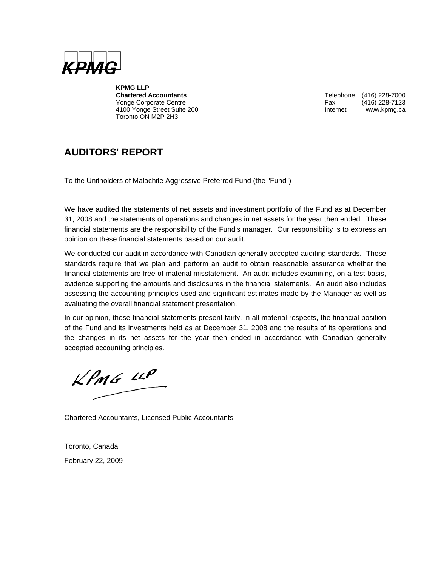

**KPMG LLP**  Yonge Corporate Centre 4100 Yonge Street Suite 200 **Internet WWW.kpmg.ca** Toronto ON M2P 2H3

Telephone (416) 228-7000<br>Fax (416) 228-7123

### **AUDITORS' REPORT**

To the Unitholders of Malachite Aggressive Preferred Fund (the "Fund")

We have audited the statements of net assets and investment portfolio of the Fund as at December 31, 2008 and the statements of operations and changes in net assets for the year then ended. These financial statements are the responsibility of the Fund's manager. Our responsibility is to express an opinion on these financial statements based on our audit.

We conducted our audit in accordance with Canadian generally accepted auditing standards. Those standards require that we plan and perform an audit to obtain reasonable assurance whether the financial statements are free of material misstatement. An audit includes examining, on a test basis, evidence supporting the amounts and disclosures in the financial statements. An audit also includes assessing the accounting principles used and significant estimates made by the Manager as well as evaluating the overall financial statement presentation.

In our opinion, these financial statements present fairly, in all material respects, the financial position of the Fund and its investments held as at December 31, 2008 and the results of its operations and the changes in its net assets for the year then ended in accordance with Canadian generally accepted accounting principles.

 $KPMG$  11P

Chartered Accountants, Licensed Public Accountants

Toronto, Canada February 22, 2009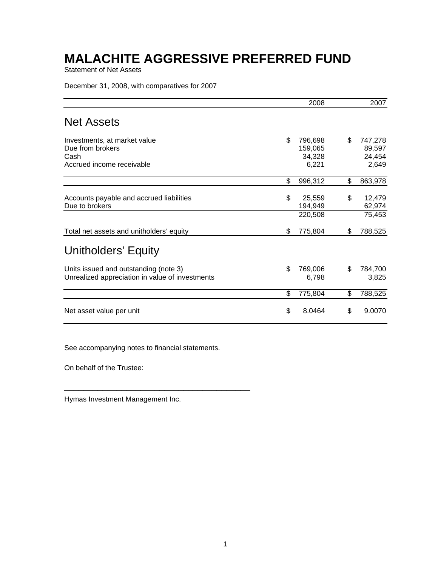Statement of Net Assets

December 31, 2008, with comparatives for 2007

|                                                                                          | 2008                                        | 2007                                       |
|------------------------------------------------------------------------------------------|---------------------------------------------|--------------------------------------------|
| <b>Net Assets</b>                                                                        |                                             |                                            |
| Investments, at market value<br>Due from brokers<br>Cash<br>Accrued income receivable    | \$<br>796,698<br>159,065<br>34,328<br>6,221 | \$<br>747,278<br>89,597<br>24,454<br>2,649 |
|                                                                                          | \$<br>996,312                               | \$<br>863,978                              |
| Accounts payable and accrued liabilities<br>Due to brokers                               | \$<br>25,559<br>194,949<br>220,508          | \$<br>12,479<br>62,974<br>75,453           |
| Total net assets and unitholders' equity                                                 | \$<br>775,804                               | \$<br>788,525                              |
| <b>Unitholders' Equity</b>                                                               |                                             |                                            |
| Units issued and outstanding (note 3)<br>Unrealized appreciation in value of investments | \$<br>769,006<br>6,798                      | \$<br>784,700<br>3,825                     |
|                                                                                          | \$<br>775,804                               | \$<br>788,525                              |
| Net asset value per unit                                                                 | \$<br>8.0464                                | \$<br>9.0070                               |

See accompanying notes to financial statements.

\_\_\_\_\_\_\_\_\_\_\_\_\_\_\_\_\_\_\_\_\_\_\_\_\_\_\_\_\_\_\_\_\_\_\_\_\_\_\_

On behalf of the Trustee:

Hymas Investment Management Inc.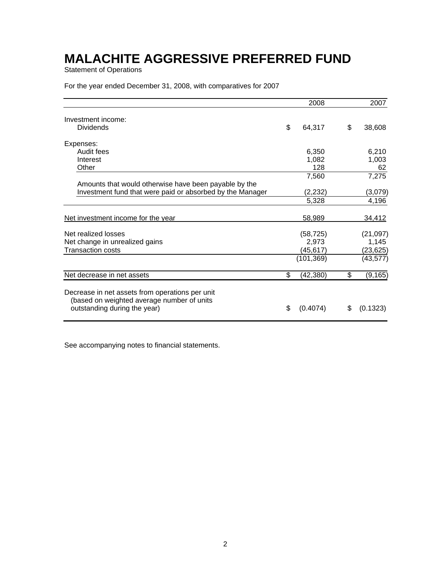Statement of Operations

For the year ended December 31, 2008, with comparatives for 2007

| \$<br>64,317<br>6,350 | 38,608                                                                      |
|-----------------------|-----------------------------------------------------------------------------|
|                       |                                                                             |
|                       |                                                                             |
|                       |                                                                             |
|                       | 6,210                                                                       |
| 1,082                 | 1,003                                                                       |
| 128                   | 62                                                                          |
| 7,560                 | 7,275                                                                       |
|                       |                                                                             |
| (2, 232)              | (3,079)                                                                     |
| 5,328                 | 4,196                                                                       |
| 58,989                | 34,412                                                                      |
|                       | (21, 097)                                                                   |
|                       | 1,145                                                                       |
|                       | (23,625)                                                                    |
|                       | (43, 577)                                                                   |
| \$                    | (9, 165)                                                                    |
|                       | (0.1323)                                                                    |
|                       | (58, 725)<br>2,973<br>(45,617)<br>(101, 369)<br>(42, 380)<br>\$<br>(0.4074) |

See accompanying notes to financial statements.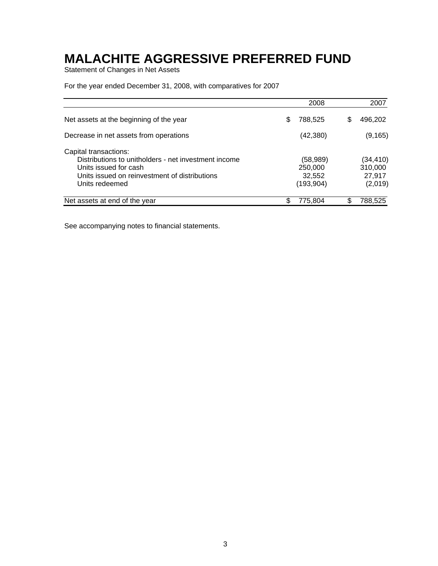Statement of Changes in Net Assets

For the year ended December 31, 2008, with comparatives for 2007

|                                                                                                                                                                           |   | 2008                                       | 2007                                     |
|---------------------------------------------------------------------------------------------------------------------------------------------------------------------------|---|--------------------------------------------|------------------------------------------|
| Net assets at the beginning of the year                                                                                                                                   | S | 788,525                                    | \$<br>496,202                            |
| Decrease in net assets from operations                                                                                                                                    |   | (42, 380)                                  | (9, 165)                                 |
| Capital transactions:<br>Distributions to unitholders - net investment income<br>Units issued for cash<br>Units issued on reinvestment of distributions<br>Units redeemed |   | (58,989)<br>250,000<br>32,552<br>(193,904) | (34,410)<br>310,000<br>27,917<br>(2,019) |
| Net assets at end of the year                                                                                                                                             |   | 775,804                                    | 788,525                                  |

See accompanying notes to financial statements.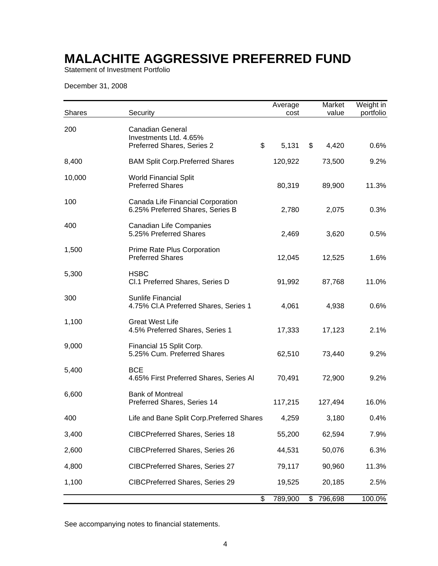Statement of Investment Portfolio

December 31, 2008

| <b>Shares</b> | Security                                                                              | Average<br>cost | Market<br>value | Weight in<br>portfolio |
|---------------|---------------------------------------------------------------------------------------|-----------------|-----------------|------------------------|
| 200           | <b>Canadian General</b><br>Investments Ltd. 4.65%<br>\$<br>Preferred Shares, Series 2 | 5,131           | \$<br>4,420     | 0.6%                   |
| 8,400         | <b>BAM Split Corp. Preferred Shares</b>                                               | 120,922         | 73,500          | 9.2%                   |
| 10,000        | <b>World Financial Split</b><br><b>Preferred Shares</b>                               | 80,319          | 89,900          | 11.3%                  |
| 100           | Canada Life Financial Corporation<br>6.25% Preferred Shares, Series B                 | 2,780           | 2,075           | 0.3%                   |
| 400           | <b>Canadian Life Companies</b><br>5.25% Preferred Shares                              | 2,469           | 3,620           | 0.5%                   |
| 1,500         | Prime Rate Plus Corporation<br><b>Preferred Shares</b>                                | 12,045          | 12,525          | 1.6%                   |
| 5,300         | <b>HSBC</b><br>Cl.1 Preferred Shares, Series D                                        | 91,992          | 87,768          | 11.0%                  |
| 300           | Sunlife Financial<br>4.75% Cl.A Preferred Shares, Series 1                            | 4,061           | 4,938           | 0.6%                   |
| 1,100         | <b>Great West Life</b><br>4.5% Preferred Shares, Series 1                             | 17,333          | 17,123          | 2.1%                   |
| 9,000         | Financial 15 Split Corp.<br>5.25% Cum. Preferred Shares                               | 62,510          | 73,440          | 9.2%                   |
| 5,400         | <b>BCE</b><br>4.65% First Preferred Shares, Series Al                                 | 70,491          | 72,900          | 9.2%                   |
| 6,600         | <b>Bank of Montreal</b><br>Preferred Shares, Series 14                                | 117,215         | 127,494         | 16.0%                  |
| 400           | Life and Bane Split Corp. Preferred Shares                                            | 4,259           | 3,180           | $0.4\%$                |
| 3,400         | <b>CIBCPreferred Shares, Series 18</b>                                                | 55,200          | 62,594          | 7.9%                   |
| 2,600         | <b>CIBCPreferred Shares, Series 26</b>                                                | 44,531          | 50,076          | 6.3%                   |
| 4,800         | CIBCPreferred Shares, Series 27                                                       | 79,117          | 90,960          | 11.3%                  |
| 1,100         | CIBCPreferred Shares, Series 29                                                       | 19,525          | 20,185          | 2.5%                   |
|               | \$                                                                                    | 789,900         | 796,698<br>\$   | 100.0%                 |

See accompanying notes to financial statements.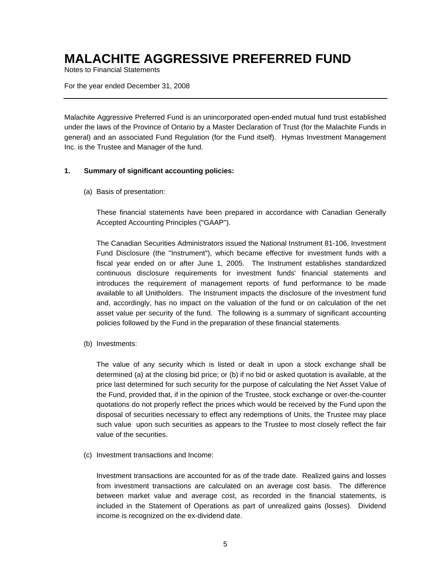Notes to Financial Statements

For the year ended December 31, 2008

Malachite Aggressive Preferred Fund is an unincorporated open-ended mutual fund trust established under the laws of the Province of Ontario by a Master Declaration of Trust (for the Malachite Funds in general) and an associated Fund Regulation (for the Fund itself). Hymas Investment Management Inc. is the Trustee and Manager of the fund.

#### **1. Summary of significant accounting policies:**

(a) Basis of presentation:

These financial statements have been prepared in accordance with Canadian Generally Accepted Accounting Principles ("GAAP").

The Canadian Securities Administrators issued the National Instrument 81-106, Investment Fund Disclosure (the "Instrument"), which became effective for investment funds with a fiscal year ended on or after June 1, 2005. The Instrument establishes standardized continuous disclosure requirements for investment funds' financial statements and introduces the requirement of management reports of fund performance to be made available to all Unitholders. The Instrument impacts the disclosure of the investment fund and, accordingly, has no impact on the valuation of the fund or on calculation of the net asset value per security of the fund. The following is a summary of significant accounting policies followed by the Fund in the preparation of these financial statements.

(b) Investments:

The value of any security which is listed or dealt in upon a stock exchange shall be determined (a) at the closing bid price; or (b) if no bid or asked quotation is available, at the price last determined for such security for the purpose of calculating the Net Asset Value of the Fund, provided that, if in the opinion of the Trustee, stock exchange or over-the-counter quotations do not properly reflect the prices which would be received by the Fund upon the disposal of securities necessary to effect any redemptions of Units, the Trustee may place such value upon such securities as appears to the Trustee to most closely reflect the fair value of the securities.

(c) Investment transactions and Income:

Investment transactions are accounted for as of the trade date. Realized gains and losses from investment transactions are calculated on an average cost basis. The difference between market value and average cost, as recorded in the financial statements, is included in the Statement of Operations as part of unrealized gains (losses). Dividend income is recognized on the ex-dividend date.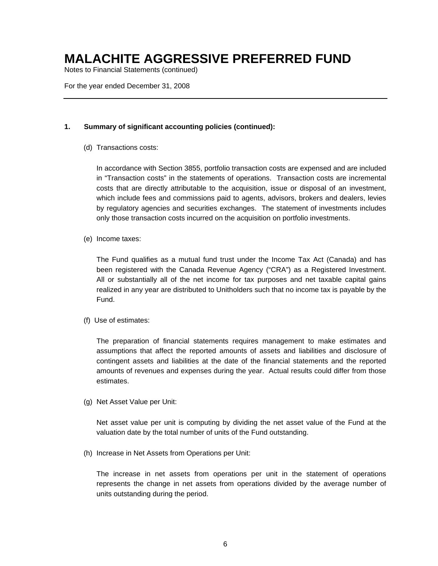Notes to Financial Statements (continued)

For the year ended December 31, 2008

#### **1. Summary of significant accounting policies (continued):**

(d) Transactions costs:

In accordance with Section 3855, portfolio transaction costs are expensed and are included in "Transaction costs" in the statements of operations. Transaction costs are incremental costs that are directly attributable to the acquisition, issue or disposal of an investment, which include fees and commissions paid to agents, advisors, brokers and dealers, levies by regulatory agencies and securities exchanges. The statement of investments includes only those transaction costs incurred on the acquisition on portfolio investments.

(e) Income taxes:

The Fund qualifies as a mutual fund trust under the Income Tax Act (Canada) and has been registered with the Canada Revenue Agency ("CRA") as a Registered Investment. All or substantially all of the net income for tax purposes and net taxable capital gains realized in any year are distributed to Unitholders such that no income tax is payable by the Fund.

(f) Use of estimates:

The preparation of financial statements requires management to make estimates and assumptions that affect the reported amounts of assets and liabilities and disclosure of contingent assets and liabilities at the date of the financial statements and the reported amounts of revenues and expenses during the year. Actual results could differ from those estimates.

(g) Net Asset Value per Unit:

Net asset value per unit is computing by dividing the net asset value of the Fund at the valuation date by the total number of units of the Fund outstanding.

(h) Increase in Net Assets from Operations per Unit:

The increase in net assets from operations per unit in the statement of operations represents the change in net assets from operations divided by the average number of units outstanding during the period.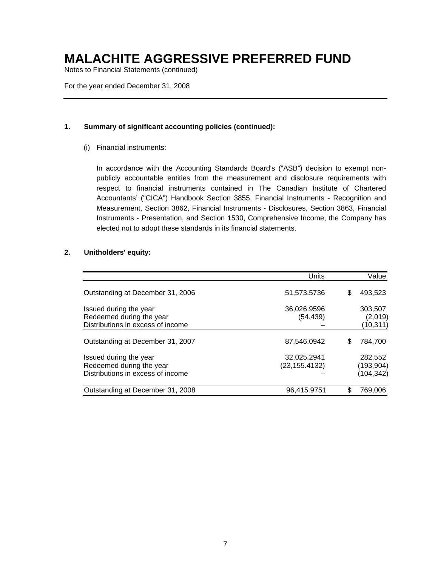Notes to Financial Statements (continued)

For the year ended December 31, 2008

#### **1. Summary of significant accounting policies (continued):**

(i) Financial instruments:

In accordance with the Accounting Standards Board's ("ASB") decision to exempt nonpublicly accountable entities from the measurement and disclosure requirements with respect to financial instruments contained in The Canadian Institute of Chartered Accountants' ("CICA") Handbook Section 3855, Financial Instruments - Recognition and Measurement, Section 3862, Financial Instruments - Disclosures, Section 3863, Financial Instruments - Presentation, and Section 1530, Comprehensive Income, the Company has elected not to adopt these standards in its financial statements.

#### **2. Unitholders' equity:**

|                                                                                         | Units                         |   | Value                               |
|-----------------------------------------------------------------------------------------|-------------------------------|---|-------------------------------------|
| Outstanding at December 31, 2006                                                        | 51,573.5736                   | S | 493,523                             |
| Issued during the year<br>Redeemed during the year<br>Distributions in excess of income | 36,026.9596<br>(54.439)       |   | 303.507<br>(2,019)<br>(10, 311)     |
| Outstanding at December 31, 2007                                                        | 87,546.0942                   | S | 784,700                             |
| Issued during the year<br>Redeemed during the year<br>Distributions in excess of income | 32,025.2941<br>(23, 155.4132) |   | 282,552<br>(193, 904)<br>(104, 342) |
| Outstanding at December 31, 2008                                                        | 96,415.9751                   |   | 769,006                             |